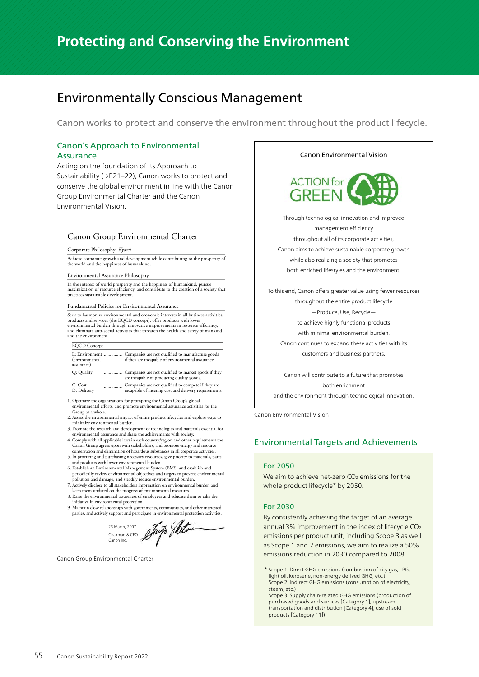# **Protecting and Conserving the Environment**

# Environmentally Conscious Management

Canon works to protect and conserve the environment throughout the product lifecycle.

# Canon's Approach to Environmental Assurance

Acting on the foundation of its Approach to Sustainability (→P21–22), Canon works to protect and conserve the global environment in line with the Canon Group Environmental Charter and the Canon Environmental Vision.

## Canon Group Environmental Charter

#### Corporate Philosophy: *Kyosei*

Achieve corporate growth and development while contributing to the prosperity of the world and the happiness of humankind.

Environmental Assurance Philosophy

In the interest of world prosperity and the happiness of humankind, pursue maximization of resource efficiency, and contribute to the creation of a society that practices sustainable development.

Fundamental Policies for Environmental Assurance

Seek to harmonize environmental and economic interests in all business activities, products and services (the EQCD concept); offer products with lower environmental burden through innovative improvements in resource efficiency, and eliminate anti-social activities that threaten the health and safety of mankind and the environment.

| <b>EQCD</b> Concept                            |  |                                                                                                            |  |
|------------------------------------------------|--|------------------------------------------------------------------------------------------------------------|--|
| E: Environment<br>(environmental<br>assurance) |  | Companies are not qualified to manufacture goods<br>if they are incapable of environmental assurance.      |  |
| O: Quality                                     |  | Companies are not qualified to market goods if they<br>are incapable of producing quality goods.           |  |
| C: Cost<br>D: Delivery                         |  | Companies are not qualified to compete if they are<br>incapable of meeting cost and delivery requirements. |  |

1. Optimize the organizations for prompting the Canon Group's global environmental efforts, and promote environmental assurance activities for the

Group as a whole. 2. Assess the environmental impact of entire product lifecycles and explore ways to minimize environmental burden.

3. Promote the research and development of technologies and materials essential for environmental assurance and share the achievements with society.

4. Comply with all applicable laws in each country/region and other requirements the Canon Group agrees upon with stakeholders, and promote energy and resource conservation and elimination of hazardous substances in all corporate activities.

- 5. In procuring and purchasing necessary resources, give priority to materials, parts and products with lower environmental burden.
- 6. Establish an Environmental Management System (EMS) and establish and periodically review environmental objectives and targets to prevent environmental
- pollution and damage, and steadily reduce environmental burden. 7. Actively disclose to all stakeholders information on environmental burden and
- keep them updated on the progress of environmental measures. 8. Raise the environmental awareness of employees and educate them to take the initiative in environmental protection.
- 9. Maintain close relationships with governments, communities, and other interested parties, and actively support and participate in environmental protection activities.

23 March, 2007 Chairman & CEO Canon Inc.

Canon Group Environmental Charter





Through technological innovation and improved management efficiency throughout all of its corporate activities, Canon aims to achieve sustainable corporate growth while also realizing a society that promotes both enriched lifestyles and the environment.

To this end, Canon offers greater value using fewer resources throughout the entire product lifecycle —Produce, Use, Recycle to achieve highly functional products with minimal environmental burden. Canon continues to expand these activities with its

customers and business partners.

Canon will contribute to a future that promotes both enrichment and the environment through technological innovation.

Canon Environmental Vision

# Environmental Targets and Achievements

#### For 2050

We aim to achieve net-zero  $CO<sub>2</sub>$  emissions for the whole product lifecycle\* by 2050.

#### For 2030

By consistently achieving the target of an average annual 3% improvement in the index of lifecycle CO<sub>2</sub> emissions per product unit, including Scope 3 as well as Scope 1 and 2 emissions, we aim to realize a 50% emissions reduction in 2030 compared to 2008.

\* Scope 1: Direct GHG emissions (combustion of city gas, LPG, light oil, kerosene, non-energy derived GHG, etc.) Scope 2: Indirect GHG emissions (consumption of electricity, steam, etc.)

Scope 3: Supply chain-related GHG emissions (production of purchased goods and services [Category 1], upstream transportation and distribution [Category 4], use of sold products [Category 11])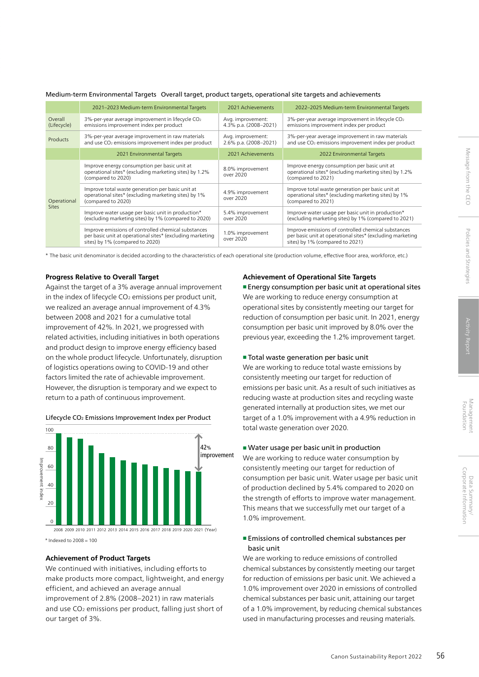|                             | 2021-2023 Medium-term Environmental Targets                                                                                                         | 2021 Achievements                          | 2022-2025 Medium-term Environmental Targets                                                                                                         |
|-----------------------------|-----------------------------------------------------------------------------------------------------------------------------------------------------|--------------------------------------------|-----------------------------------------------------------------------------------------------------------------------------------------------------|
| Overall<br>(Lifecycle)      | 3%-per-year average improvement in lifecycle CO <sub>2</sub><br>emissions improvement index per product                                             | Avg. improvement:<br>4.3% p.a. (2008-2021) | 3%-per-year average improvement in lifecycle CO <sub>2</sub><br>emissions improvement index per product                                             |
| Products                    | 3%-per-year average improvement in raw materials<br>and use CO <sub>2</sub> emissions improvement index per product                                 | Avg. improvement:<br>2.6% p.a. (2008-2021) | 3%-per-year average improvement in raw materials<br>and use CO <sub>2</sub> emissions improvement index per product                                 |
|                             | 2021 Environmental Targets                                                                                                                          | 2021 Achievements                          | 2022 Environmental Targets                                                                                                                          |
| Operational<br><b>Sites</b> | Improve energy consumption per basic unit at<br>operational sites* (excluding marketing sites) by 1.2%<br>(compared to 2020)                        | 8.0% improvement<br>over 2020              | Improve energy consumption per basic unit at<br>operational sites* (excluding marketing sites) by 1.2%<br>(compared to 2021)                        |
|                             | Improve total waste generation per basic unit at<br>operational sites* (excluding marketing sites) by 1%<br>(compared to 2020)                      | 4.9% improvement<br>over 2020              | Improve total waste generation per basic unit at<br>operational sites* (excluding marketing sites) by 1%<br>(compared to 2021)                      |
|                             | Improve water usage per basic unit in production*<br>(excluding marketing sites) by 1% (compared to 2020)                                           | 5.4% improvement<br>over 2020              | Improve water usage per basic unit in production*<br>(excluding marketing sites) by 1% (compared to 2021)                                           |
|                             | Improve emissions of controlled chemical substances<br>per basic unit at operational sites* (excluding marketing<br>sites) by 1% (compared to 2020) | 1.0% improvement<br>over 2020              | Improve emissions of controlled chemical substances<br>per basic unit at operational sites* (excluding marketing<br>sites) by 1% (compared to 2021) |

#### Medium-term Environmental Targets Overall target, product targets, operational site targets and achievements

\* The basic unit denominator is decided according to the characteristics of each operational site (production volume, effective floor area, workforce, etc.)

#### **Progress Relative to Overall Target**

Against the target of a 3% average annual improvement in the index of lifecycle  $CO<sub>2</sub>$  emissions per product unit, we realized an average annual improvement of 4.3% between 2008 and 2021 for a cumulative total improvement of 42%. In 2021, we progressed with related activities, including initiatives in both operations and product design to improve energy efficiency based on the whole product lifecycle. Unfortunately, disruption of logistics operations owing to COVID-19 and other factors limited the rate of achievable improvement. However, the disruption is temporary and we expect to return to a path of continuous improvement.



Lifecycle CO2 Emissions Improvement Index per Product

 $*$  Indexed to  $2008 - 100$ 

# **Achievement of Product Targets**

We continued with initiatives, including efforts to make products more compact, lightweight, and energy efficient, and achieved an average annual improvement of 2.8% (2008–2021) in raw materials and use CO2 emissions per product, falling just short of our target of 3%.

#### **Achievement of Operational Site Targets**

■ Energy consumption per basic unit at operational sites We are working to reduce energy consumption at operational sites by consistently meeting our target for reduction of consumption per basic unit. In 2021, energy consumption per basic unit improved by 8.0% over the previous year, exceeding the 1.2% improvement target.

#### ■ Total waste generation per basic unit

We are working to reduce total waste emissions by consistently meeting our target for reduction of emissions per basic unit. As a result of such initiatives as reducing waste at production sites and recycling waste generated internally at production sites, we met our target of a 1.0% improvement with a 4.9% reduction in total waste generation over 2020.

# ■ Water usage per basic unit in production

We are working to reduce water consumption by consistently meeting our target for reduction of consumption per basic unit. Water usage per basic unit of production declined by 5.4% compared to 2020 on the strength of efforts to improve water management. This means that we successfully met our target of a 1.0% improvement.

# ■ Emissions of controlled chemical substances per basic unit

We are working to reduce emissions of controlled chemical substances by consistently meeting our target for reduction of emissions per basic unit. We achieved a 1.0% improvement over 2020 in emissions of controlled chemical substances per basic unit, attaining our target of a 1.0% improvement, by reducing chemical substances used in manufacturing processes and reusing materials.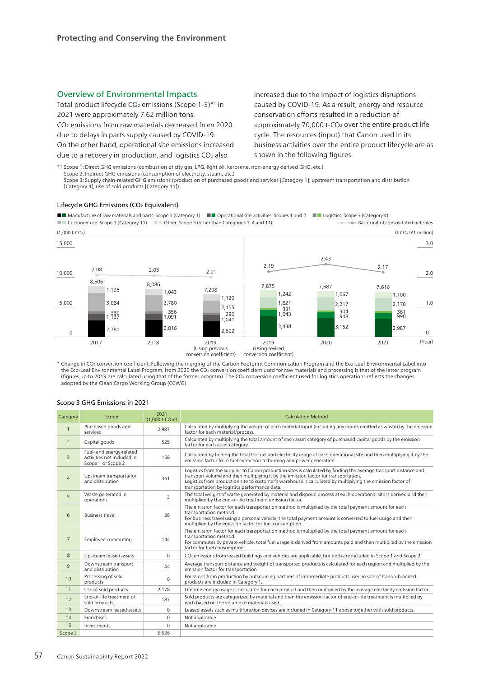# Overview of Environmental Impacts

Total product lifecycle  $CO<sub>2</sub>$  emissions (Scope 1-3) $*$ <sup>1</sup> in 2021 were approximately 7.62 million tons. CO2 emissions from raw materials decreased from 2020 due to delays in parts supply caused by COVID-19. On the other hand, operational site emissions increased

due to a recovery in production, and logistics  $CO<sub>2</sub>$  also

increased due to the impact of logistics disruptions caused by COVID-19. As a result, energy and resource conservation efforts resulted in a reduction of approximately 70,000 t-CO<sub>2</sub> over the entire product life cycle. The resources (input) that Canon used in its business activities over the entire product lifecycle are as shown in the following figures.

\*1 Scope 1: Direct GHG emissions (combustion of city gas, LPG, light oil, kerosene, non-energy derived GHG, etc.) Scope 2: Indirect GHG emissions (consumption of electricity, steam, etc.)

Scope 3: Supply chain-related GHG emissions (production of purchased goods and services [Category 1], upstream transportation and distribution [Category 4], use of sold products [Category 11])

#### Lifecycle GHG Emissions (CO<sub>2</sub> Equivalent)

■■ Manufacture of raw materials and parts: Scope 3 (Category 1) ■■ Operational site activities: Scopes 1 and 2 ■■ Logistics: Scope 3 (Category 4) ■■ Customer use: Scope 3 (Category 11) ■ Other: Scope 3 (other than Categories 1, 4 and 11) **Basic unit of consolidated net sales** 



\* Change in CO2 conversion coefficient: Following the merging of the Carbon Footprint Communication Program and the Eco-Leaf Environmental Label into the Eco-Leaf Environmental Label Program, from 2020 the CO2 conversion coefficient used for raw materials and processing is that of the latter program (figures up to 2019 are calculated using that of the former program). The CO2 conversion coefficient used for logistics operations reflects the changes adopted by the Clean Cargo Working Group (CCWG)

#### Category Scope 2021<br>
(1,000 t-CO<sub>2</sub>e) Calculation Method 1 Purchased goods and calculated by multiplying the weight of each material input (including any inputs emitted as waste) by the emission factor for each material/process. 2 Capital goods 525 Calculated by multiplying the total amount of each asset category of purchased capital goods by the emission factor for each asset category.  $\overline{a}$ Fuel- and energy-related activities not included in Scope 1 or Scope 2 158 Calculated by finding the total for fuel and electricity usage at each operational site and then multiplying it by the emission factor from fuel extraction to burning and power generation. <sup>4</sup> Upstream transportation Upstream transportation 261 Logistics from the supplier to Canon production sites is calculated by finding the average transport distance and transport volume and then multiplying it by the emission factor for transportation. Logistics from production site to customer's warehouse is calculated by multiplying the emission factor of transportation by logistics performance data. 5 Waste generated in<br>operations The total weight of waste generated by material and disposal process at each operational site is derived and then multiplied by the end-of-life treatment emission factor. 6 Business travel 38 The emission factor for each transportation method is multiplied by the total payment amount for each transportation method. For business travel using a personal vehicle, the total payment amount is converted to fuel usage and then multiplied by the emission factor for fuel consumption. 7 Employee commuting 20144 The emission factor for each transportation method is multiplied by the total payment amount for each ransportation method. For commutes by private vehicle, total fuel usage is derived from amounts paid and then multiplied by the emission factor for fuel consumption. 8 Upstream leased assets 0 CO<sub>2</sub> emissions from leased buildings and vehicles are applicable, but both are included in Scope 1 and Scope 2. 9 Downstream transport<br>and distribution  $\frac{44}{100}$  Average transport distance and weight of transported products is calculated for each region and multiplied by the emission factor for transportation 10 Processing of sold<br>products  $p_{0}$  Emissions from production by outsourcing partners of intermediate products used in sale of Canon-branded products are included in Category 1. 11 Use of sold products 2,178 Lifetime energy usage is calculated for each product and then multiplied by the average electricity emission factor. 12 End-of-life treatment of<br>sold products sold products are categorized by material and then the emission factor of end-of-life treatment is multiplied by each based on the volume of materials used. 13 Downstream leased assets 0 Leased assets such as multifunction devices are included in Category 11 above together with sold products 14 Franchises 14 Decline 14 Franchises 2011 15 Investments 15 Investments 20 and 15 Investments 20 and 20 and 20 and 20 and 20 and 20 and 20 and 20 and 20 and 20 and 20 and 20 and 20 and 20 and 20 and 20 and 20 and 20 and 20 and 20 and 20 and 20 and 20 and 20 and 20 Scope 3 6,626

#### Scope 3 GHG Emissions in 2021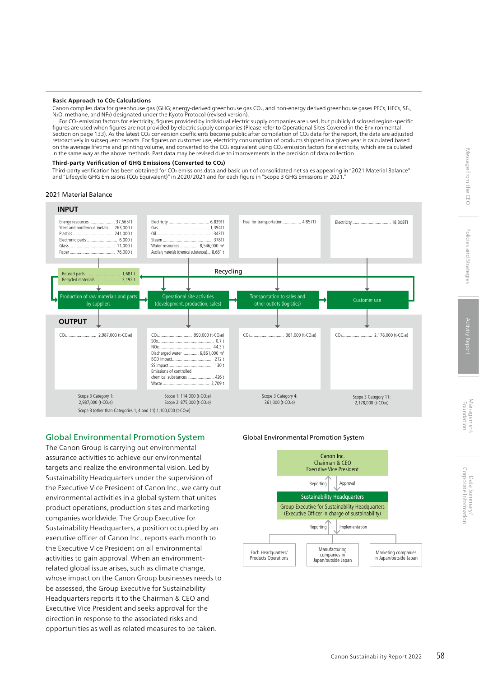#### **Basic Approach to CO2 Calculations**

Canon compiles data for greenhouse gas (GHG; energy-derived greenhouse gas CO<sub>2</sub>, and non-energy derived greenhouse gases PFCs, HFCs, SF6, N2O, methane, and NF3) designated under the Kyoto Protocol (revised version).

For CO2 emission factors for electricity, figures provided by individual electric supply companies are used, but publicly disclosed region-specific figures are used when figures are not provided by electric supply companies (Please refer to Operational Sites Covered in the Environmental Section on page 133). As the latest CO<sub>2</sub> conversion coefficients become public after compilation of CO<sub>2</sub> data for the report, the data are adjusted retroactively in subsequent reports. For figures on customer use, electricity consumption of products shipped in a given year is calculated based on the average lifetime and printing volume, and converted to the CO2 equivalent using CO2 emission factors for electricity, which are calculated in the same way as the above methods. Past data may be revised due to improvements in the precision of data collection.

#### **Third-party Verification of GHG Emissions (Converted to CO2)**

Third-party verification has been obtained for CO2 emissions data and basic unit of consolidated net sales appearing in "2021 Material Balance" and "Lifecycle GHG Emissions (CO<sub>2</sub> Equivalent)" in 2020/2021 and for each figure in "Scope 3 GHG Emissions in 2021.

#### 2021 Material Balance



# Global Environmental Promotion System

The Canon Group is carrying out environmental assurance activities to achieve our environmental targets and realize the environmental vision. Led by Sustainability Headquarters under the supervision of the Executive Vice President of Canon Inc., we carry out environmental activities in a global system that unites product operations, production sites and marketing companies worldwide. The Group Executive for Sustainability Headquarters, a position occupied by an executive officer of Canon Inc., reports each month to the Executive Vice President on all environmental activities to gain approval. When an environmentrelated global issue arises, such as climate change, whose impact on the Canon Group businesses needs to be assessed, the Group Executive for Sustainability Headquarters reports it to the Chairman & CEO and Executive Vice President and seeks approval for the direction in response to the associated risks and opportunities as well as related measures to be taken.

#### Global Environmental Promotion System

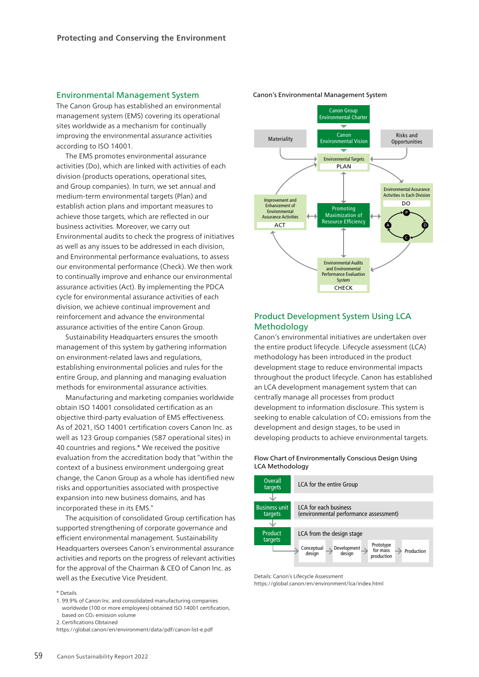## Environmental Management System

The Canon Group has established an environmental management system (EMS) covering its operational sites worldwide as a mechanism for continually improving the environmental assurance activities according to ISO 14001.

The EMS promotes environmental assurance activities (Do), which are linked with activities of each division (products operations, operational sites, and Group companies). In turn, we set annual and medium-term environmental targets (Plan) and establish action plans and important measures to achieve those targets, which are reflected in our business activities. Moreover, we carry out Environmental audits to check the progress of initiatives as well as any issues to be addressed in each division, and Environmental performance evaluations, to assess our environmental performance (Check). We then work to continually improve and enhance our environmental assurance activities (Act). By implementing the PDCA cycle for environmental assurance activities of each division, we achieve continual improvement and reinforcement and advance the environmental assurance activities of the entire Canon Group.

Sustainability Headquarters ensures the smooth management of this system by gathering information on environment-related laws and regulations, establishing environmental policies and rules for the entire Group, and planning and managing evaluation methods for environmental assurance activities.

Manufacturing and marketing companies worldwide obtain ISO 14001 consolidated certification as an objective third-party evaluation of EMS effectiveness. As of 2021, ISO 14001 certification covers Canon Inc. as well as 123 Group companies (587 operational sites) in 40 countries and regions.\* We received the positive evaluation from the accreditation body that "within the context of a business environment undergoing great change, the Canon Group as a whole has identified new risks and opportunities associated with prospective expansion into new business domains, and has incorporated these in its EMS."

The acquisition of consolidated Group certification has supported strengthening of corporate governance and efficient environmental management. Sustainability Headquarters oversees Canon's environmental assurance activities and reports on the progress of relevant activities for the approval of the Chairman & CEO of Canon Inc. as well as the Executive Vice President.

\* Details

- 1. 99.9% of Canon Inc. and consolidated manufacturing companies worldwide (100 or more employees) obtained ISO 14001 certification, based on CO2 emission volume
- 2. Certifications Obtained



#### Canon's Environmental Management System

# Product Development System Using LCA Methodology

Canon's environmental initiatives are undertaken over the entire product lifecycle. Lifecycle assessment (LCA) methodology has been introduced in the product development stage to reduce environmental impacts throughout the product lifecycle. Canon has established an LCA development management system that can centrally manage all processes from product development to information disclosure. This system is seeking to enable calculation of CO<sub>2</sub> emissions from the development and design stages, to be used in developing products to achieve environmental targets.

#### Flow Chart of Environmentally Conscious Design Using LCA Methodology



Details: Canon's Lifecycle Assessment

https://global.canon/en/environment/lca/index.html

https://global.canon/en/environment/data/pdf/canon-list-e.pdf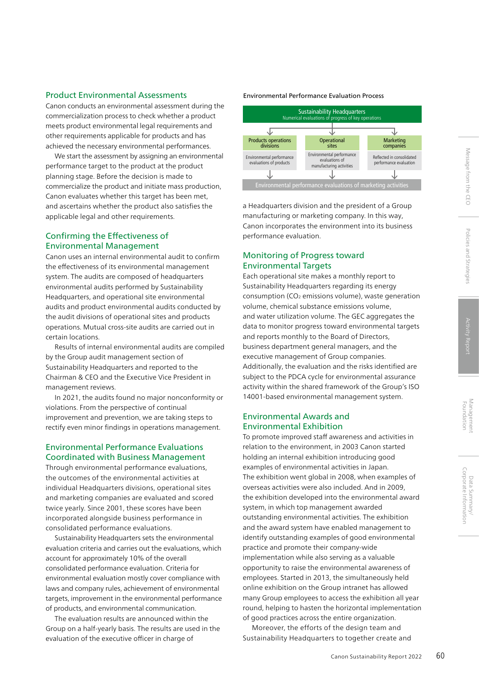# Product Environmental Assessments

Canon conducts an environmental assessment during the commercialization process to check whether a product meets product environmental legal requirements and other requirements applicable for products and has achieved the necessary environmental performances.

We start the assessment by assigning an environmental performance target to the product at the product planning stage. Before the decision is made to commercialize the product and initiate mass production, Canon evaluates whether this target has been met, and ascertains whether the product also satisfies the applicable legal and other requirements.

# Confirming the Effectiveness of Environmental Management

Canon uses an internal environmental audit to confirm the effectiveness of its environmental management system. The audits are composed of headquarters environmental audits performed by Sustainability Headquarters, and operational site environmental audits and product environmental audits conducted by the audit divisions of operational sites and products operations. Mutual cross-site audits are carried out in certain locations.

Results of internal environmental audits are compiled by the Group audit management section of Sustainability Headquarters and reported to the Chairman & CEO and the Executive Vice President in management reviews.

In 2021, the audits found no major nonconformity or violations. From the perspective of continual improvement and prevention, we are taking steps to rectify even minor findings in operations management.

# Environmental Performance Evaluations Coordinated with Business Management

Through environmental performance evaluations, the outcomes of the environmental activities at individual Headquarters divisions, operational sites and marketing companies are evaluated and scored twice yearly. Since 2001, these scores have been incorporated alongside business performance in consolidated performance evaluations.

Sustainability Headquarters sets the environmental evaluation criteria and carries out the evaluations, which account for approximately 10% of the overall consolidated performance evaluation. Criteria for environmental evaluation mostly cover compliance with laws and company rules, achievement of environmental targets, improvement in the environmental performance of products, and environmental communication.

The evaluation results are announced within the Group on a half-yearly basis. The results are used in the evaluation of the executive officer in charge of

# Environmental Performance Evaluation Process



a Headquarters division and the president of a Group manufacturing or marketing company. In this way, Canon incorporates the environment into its business performance evaluation.

# Monitoring of Progress toward Environmental Targets

Each operational site makes a monthly report to Sustainability Headquarters regarding its energy consumption (CO2 emissions volume), waste generation volume, chemical substance emissions volume, and water utilization volume. The GEC aggregates the data to monitor progress toward environmental targets and reports monthly to the Board of Directors, business department general managers, and the executive management of Group companies. Additionally, the evaluation and the risks identified are subject to the PDCA cycle for environmental assurance activity within the shared framework of the Group's ISO 14001-based environmental management system.

# Environmental Awards and Environmental Exhibition

To promote improved staff awareness and activities in relation to the environment, in 2003 Canon started holding an internal exhibition introducing good examples of environmental activities in Japan. The exhibition went global in 2008, when examples of overseas activities were also included. And in 2009, the exhibition developed into the environmental award system, in which top management awarded outstanding environmental activities. The exhibition and the award system have enabled management to identify outstanding examples of good environmental practice and promote their company-wide implementation while also serving as a valuable opportunity to raise the environmental awareness of employees. Started in 2013, the simultaneously held online exhibition on the Group intranet has allowed many Group employees to access the exhibition all year round, helping to hasten the horizontal implementation of good practices across the entire organization.

Moreover, the efforts of the design team and Sustainability Headquarters to together create and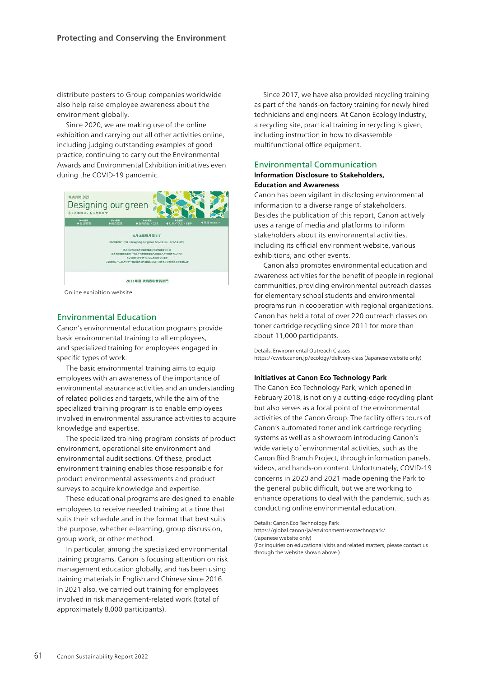distribute posters to Group companies worldwide also help raise employee awareness about the environment globally.

Since 2020, we are making use of the online exhibition and carrying out all other activities online, including judging outstanding examples of good practice, continuing to carry out the Environmental Awards and Environmental Exhibition initiatives even during the COVID-19 pandemic.



Online exhibition website

# Environmental Education

Canon's environmental education programs provide basic environmental training to all employees, and specialized training for employees engaged in specific types of work.

The basic environmental training aims to equip employees with an awareness of the importance of environmental assurance activities and an understanding of related policies and targets, while the aim of the specialized training program is to enable employees involved in environmental assurance activities to acquire knowledge and expertise.

The specialized training program consists of product environment, operational site environment and environmental audit sections. Of these, product environment training enables those responsible for product environmental assessments and product surveys to acquire knowledge and expertise.

These educational programs are designed to enable employees to receive needed training at a time that suits their schedule and in the format that best suits the purpose, whether e-learning, group discussion, group work, or other method.

In particular, among the specialized environmental training programs, Canon is focusing attention on risk management education globally, and has been using training materials in English and Chinese since 2016. In 2021 also, we carried out training for employees involved in risk management-related work (total of approximately 8,000 participants).

Since 2017, we have also provided recycling training as part of the hands-on factory training for newly hired technicians and engineers. At Canon Ecology Industry, a recycling site, practical training in recycling is given, including instruction in how to disassemble multifunctional office equipment.

# Environmental Communication

#### **Information Disclosure to Stakeholders, Education and Awareness**

Canon has been vigilant in disclosing environmental information to a diverse range of stakeholders. Besides the publication of this report, Canon actively uses a range of media and platforms to inform stakeholders about its environmental activities, including its official environment website, various exhibitions, and other events.

Canon also promotes environmental education and awareness activities for the benefit of people in regional communities, providing environmental outreach classes for elementary school students and environmental programs run in cooperation with regional organizations. Canon has held a total of over 220 outreach classes on toner cartridge recycling since 2011 for more than about 11,000 participants.

Details: Environmental Outreach Classes https://cweb.canon.jp/ecology/delivery-class (Japanese website only)

#### **Initiatives at Canon Eco Technology Park**

The Canon Eco Technology Park, which opened in February 2018, is not only a cutting-edge recycling plant but also serves as a focal point of the environmental activities of the Canon Group. The facility offers tours of Canon's automated toner and ink cartridge recycling systems as well as a showroom introducing Canon's wide variety of environmental activities, such as the Canon Bird Branch Project, through information panels, videos, and hands-on content. Unfortunately, COVID-19 concerns in 2020 and 2021 made opening the Park to the general public difficult, but we are working to enhance operations to deal with the pandemic, such as conducting online environmental education.

Details: Canon Eco Technology Park

https://global.canon/ja/environment/ecotechnopark/

(Japanese website only)

(For inquiries on educational visits and related matters, please contact us through the website shown above.)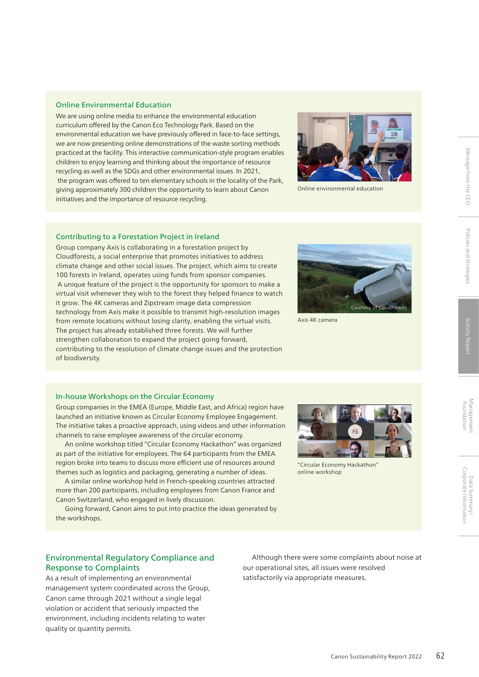We are using online media to enhance the environmental education curriculum offered by the Canon Eco Technology Park. Based on the environmental education we have previously offered in face-to-face settings, we are now presenting online demonstrations of the waste sorting methods practiced at the facility. This interactive communication-style program enables children to enjoy learning and thinking about the importance of resource recycling as well as the SDGs and other environmental issues. In 2021, the program was offered to ten elementary schools in the locality of the Park, giving approximately 300 children the opportunity to learn about Canon initiatives and the importance of resource recycling.



Online environmental education

#### Contributing to a Forestation Project in Ireland

Group company Axis is collaborating in a forestation project by Cloudforests, a social enterprise that promotes initiatives to address climate change and other social issues. The project, which aims to create 100 forests in Ireland, operates using funds from sponsor companies. A unique feature of the project is the opportunity for sponsors to make a virtual visit whenever they wish to the forest they helped finance to watch it grow. The 4K cameras and Zipstream image data compression technology from Axis make it possible to transmit high-resolution images from remote locations without losing clarity, enabling the virtual visits. The project has already established three forests. We will further strengthen collaboration to expand the project going forward, contributing to the resolution of climate change issues and the protection of biodiversity.



Axis 4K camera

#### In-house Workshops on the Circular Economy

Group companies in the EMEA (Europe, Middle East, and Africa) region have launched an initiative known as Circular Economy Employee Engagement. The initiative takes a proactive approach, using videos and other information channels to raise employee awareness of the circular economy.

An online workshop titled "Circular Economy Hackathon" was organized as part of the initiative for employees. The 64 participants from the EMEA region broke into teams to discuss more efficient use of resources around themes such as logistics and packaging, generating a number of ideas.

A similar online workshop held in French-speaking countries attracted more than 200 participants, including employees from Canon France and Canon Switzerland, who engaged in lively discussion.

Going forward, Canon aims to put into practice the ideas generated by the workshops.



"Circular Economy Hackathon" online workshop

# Environmental Regulatory Compliance and Response to Complaints

As a result of implementing an environmental management system coordinated across the Group, Canon came through 2021 without a single legal violation or accident that seriously impacted the environment, including incidents relating to water quality or quantity permits.

Although there were some complaints about noise at our operational sites, all issues were resolved satisfactorily via appropriate measures.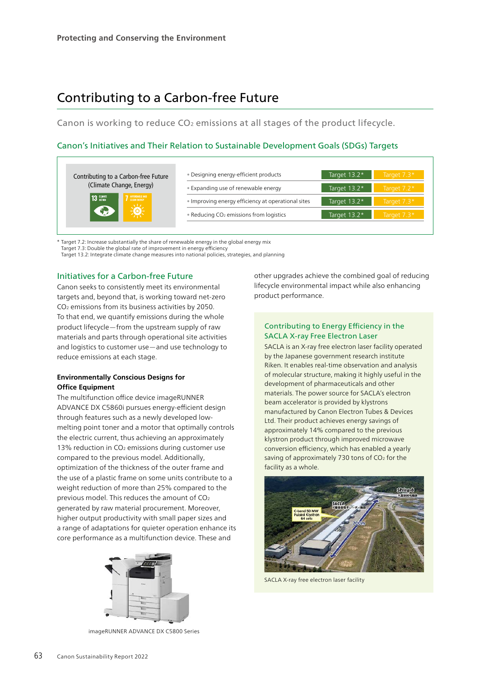# Contributing to a Carbon-free Future

Canon is working to reduce CO<sub>2</sub> emissions at all stages of the product lifecycle.

# Canon's Initiatives and Their Relation to Sustainable Development Goals (SDGs) Targets

| Contributing to a Carbon-free Future | • Designing energy-efficient products               | Target $13.2*$ | Target $7.3*$ |
|--------------------------------------|-----------------------------------------------------|----------------|---------------|
| (Climate Change, Energy)             | • Expanding use of renewable energy                 | Target $13.2*$ | Target $7.2*$ |
| <b>AFFORDABLE AND</b><br>13 GLIMATE  | • Improving energy efficiency at operational sites  | Target 13.2*   | Target $7.3*$ |
|                                      | • Reducing CO <sub>2</sub> emissions from logistics | Target $13.2*$ | Target 7.3*   |
|                                      |                                                     |                |               |

\* Target 7.2: Increase substantially the share of renewable energy in the global energy mix

Target 7.3: Double the global rate of improvement in energy efficiency

Target 13.2: Integrate climate change measures into national policies, strategies, and planning

# Initiatives for a Carbon-free Future

Canon seeks to consistently meet its environmental targets and, beyond that, is working toward net-zero CO2 emissions from its business activities by 2050. To that end, we quantify emissions during the whole product lifecycle—from the upstream supply of raw materials and parts through operational site activities and logistics to customer use—and use technology to reduce emissions at each stage.

# **Environmentally Conscious Designs for Office Equipment**

The multifunction office device imageRUNNER ADVANCE DX C5860i pursues energy-efficient design through features such as a newly developed lowmelting point toner and a motor that optimally controls the electric current, thus achieving an approximately 13% reduction in  $CO<sub>2</sub>$  emissions during customer use compared to the previous model. Additionally, optimization of the thickness of the outer frame and the use of a plastic frame on some units contribute to a weight reduction of more than 25% compared to the previous model. This reduces the amount of CO2 generated by raw material procurement. Moreover, higher output productivity with small paper sizes and a range of adaptations for quieter operation enhance its core performance as a multifunction device. These and



imageRUNNER ADVANCE DX C5800 Series

other upgrades achieve the combined goal of reducing lifecycle environmental impact while also enhancing product performance.

# Contributing to Energy Efficiency in the SACLA X-ray Free Electron Laser

SACLA is an X-ray free electron laser facility operated by the Japanese government research institute Riken. It enables real-time observation and analysis of molecular structure, making it highly useful in the development of pharmaceuticals and other materials. The power source for SACLA's electron beam accelerator is provided by klystrons manufactured by Canon Electron Tubes & Devices Ltd. Their product achieves energy savings of approximately 14% compared to the previous klystron product through improved microwave conversion efficiency, which has enabled a yearly saving of approximately 730 tons of CO<sub>2</sub> for the facility as a whole.



SACLA X-ray free electron laser facility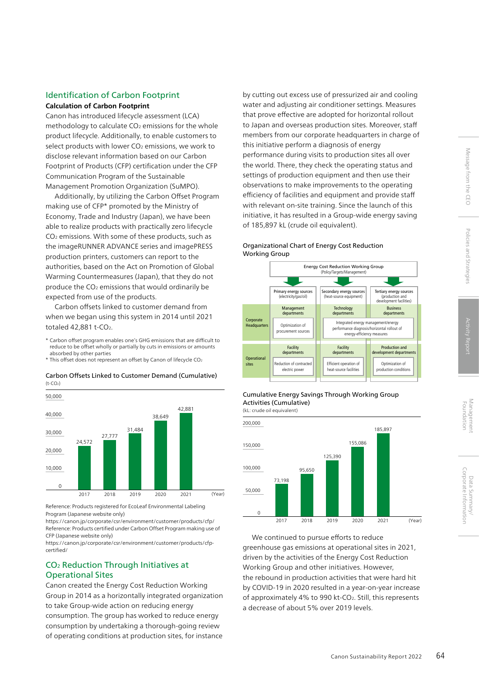# Corporate Information Message from the CEO Policies and Strategies Activity Report Management Foundation Corporate Information Data Summary/ Data Summary/

# Identification of Carbon Footprint

# **Calculation of Carbon Footprint**

Canon has introduced lifecycle assessment (LCA) methodology to calculate  $CO<sub>2</sub>$  emissions for the whole product lifecycle. Additionally, to enable customers to select products with lower CO<sub>2</sub> emissions, we work to disclose relevant information based on our Carbon Footprint of Products (CFP) certification under the CFP Communication Program of the Sustainable Management Promotion Organization (SuMPO).

Additionally, by utilizing the Carbon Offset Program making use of CFP\* promoted by the Ministry of Economy, Trade and Industry (Japan), we have been able to realize products with practically zero lifecycle CO2 emissions. With some of these products, such as the imageRUNNER ADVANCE series and imagePRESS production printers, customers can report to the authorities, based on the Act on Promotion of Global Warming Countermeasures (Japan), that they do not produce the CO2 emissions that would ordinarily be expected from use of the products.

Carbon offsets linked to customer demand from when we began using this system in 2014 until 2021 totaled 42,881 t-CO2.

- \* Carbon offset program enables one's GHG emissions that are difficult to reduce to be offset wholly or partially by cuts in emissions or amounts absorbed by other parties
- \* This offset does not represent an offset by Canon of lifecycle CO2

2017 2018 2019 2020 2021 (Year) 24,572 27,777 42,881 31,484 38,649  $\Omega$ 10,000 20,000 30,000 40,000 50,000

Carbon Offsets Linked to Customer Demand (Cumulative)  $(t-CO<sub>2</sub>)$ 

Reference: Products registered for EcoLeaf Environmental Labeling Program (Japanese website only)

https://[canon.jp/corporate/csr/environment/customer/products/cfp/](https://canon.jp/corporate/csr/environment/customer/products/cfp/) Reference: Products certified under Carbon Offset Program making use of CFP (Japanese website only)

https://[canon.jp/corporate/csr/environment/customer/products/cfp](https://canon.jp/corporate/csr/environment/customer/products/cfp-certified/)certified/

# CO2 Reduction Through Initiatives at Operational Sites

Canon created the Energy Cost Reduction Working Group in 2014 as a horizontally integrated organization to take Group-wide action on reducing energy consumption. The group has worked to reduce energy consumption by undertaking a thorough-going review of operating conditions at production sites, for instance

by cutting out excess use of pressurized air and cooling water and adjusting air conditioner settings. Measures that prove effective are adopted for horizontal rollout to Japan and overseas production sites. Moreover, staff members from our corporate headquarters in charge of this initiative perform a diagnosis of energy performance during visits to production sites all over the world. There, they check the operating status and settings of production equipment and then use their observations to make improvements to the operating efficiency of facilities and equipment and provide staff with relevant on-site training. Since the launch of this initiative, it has resulted in a Group-wide energy saving of 185,897 kL (crude oil equivalent).

# Organizational Chart of Energy Cost Reduction Working Group





(kL: crude oil equivalent)



We continued to pursue efforts to reduce greenhouse gas emissions at operational sites in 2021, driven by the activities of the Energy Cost Reduction Working Group and other initiatives. However, the rebound in production activities that were hard hit by COVID-19 in 2020 resulted in a year-on-year increase of approximately 4% to 990 kt-CO2. Still, this represents a decrease of about 5% over 2019 levels.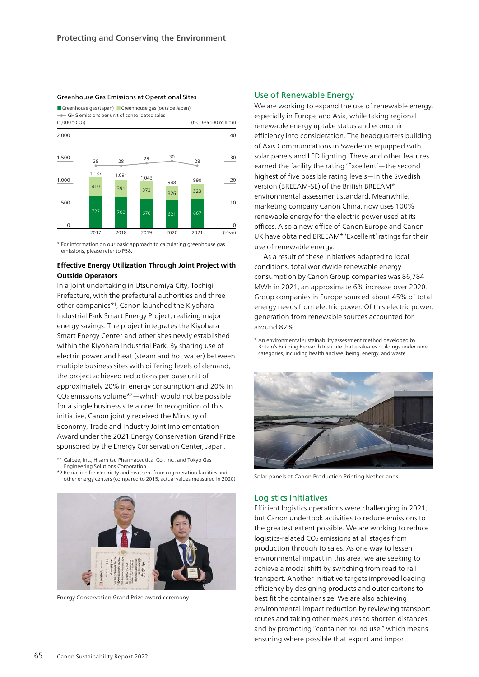#### Greenhouse Gas Emissions at Operational Sites

■Greenhouse gas (Japan) ■ Greenhouse gas (outside Japan)

GHG emissions per unit of consolidated sales



\* For information on our basic approach to calculating greenhouse gas emissions, please refer to P58.

# **Effective Energy Utilization Through Joint Project with Outside Operators**

In a joint undertaking in Utsunomiya City, Tochigi Prefecture, with the prefectural authorities and three other companies\*1, Canon launched the Kiyohara Industrial Park Smart Energy Project, realizing major energy savings. The project integrates the Kiyohara Smart Energy Center and other sites newly established within the Kiyohara Industrial Park. By sharing use of electric power and heat (steam and hot water) between multiple business sites with differing levels of demand, the project achieved reductions per base unit of approximately 20% in energy consumption and 20% in  $CO<sub>2</sub>$  emissions volume<sup>\*2</sup> — which would not be possible for a single business site alone. In recognition of this initiative, Canon jointly received the Ministry of Economy, Trade and Industry Joint Implementation Award under the 2021 Energy Conservation Grand Prize sponsored by the Energy Conservation Center, Japan.

\*1 Calbee, Inc., Hisamitsu Pharmaceutical Co., Inc., and Tokyo Gas Engineering Solutions Corporation

\*2 Reduction for electricity and heat sent from cogeneration facilities and other energy centers (compared to 2015, actual values measured in 2020)



Energy Conservation Grand Prize award ceremony

# Use of Renewable Energy

We are working to expand the use of renewable energy, especially in Europe and Asia, while taking regional renewable energy uptake status and economic efficiency into consideration. The headquarters building of Axis Communications in Sweden is equipped with solar panels and LED lighting. These and other features earned the facility the rating 'Excellent'—the second highest of five possible rating levels—in the Swedish version (BREEAM-SE) of the British BREEAM\* environmental assessment standard. Meanwhile, marketing company Canon China, now uses 100% renewable energy for the electric power used at its offices. Also a new office of Canon Europe and Canon UK have obtained BREEAM\* 'Excellent' ratings for their use of renewable energy.

As a result of these initiatives adapted to local conditions, total worldwide renewable energy consumption by Canon Group companies was 86,784 MWh in 2021, an approximate 6% increase over 2020. Group companies in Europe sourced about 45% of total energy needs from electric power. Of this electric power, generation from renewable sources accounted for around 82%.

\* An environmental sustainability assessment method developed by Britain's Building Research Institute that evaluates buildings under nine categories, including health and wellbeing, energy, and waste.



Solar panels at Canon Production Printing Netherlands

## Logistics Initiatives

Efficient logistics operations were challenging in 2021, but Canon undertook activities to reduce emissions to the greatest extent possible. We are working to reduce logistics-related CO<sub>2</sub> emissions at all stages from production through to sales. As one way to lessen environmental impact in this area, we are seeking to achieve a modal shift by switching from road to rail transport. Another initiative targets improved loading efficiency by designing products and outer cartons to best fit the container size. We are also achieving environmental impact reduction by reviewing transport routes and taking other measures to shorten distances, and by promoting "container round use," which means ensuring where possible that export and import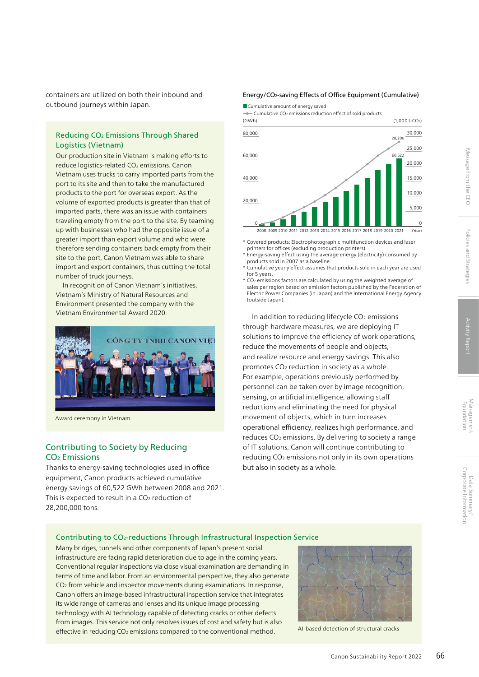containers are utilized on both their inbound and outbound journeys within Japan.

# Reducing CO2 Emissions Through Shared Logistics (Vietnam)

Our production site in Vietnam is making efforts to reduce logistics-related CO<sub>2</sub> emissions. Canon Vietnam uses trucks to carry imported parts from the port to its site and then to take the manufactured products to the port for overseas export. As the volume of exported products is greater than that of imported parts, there was an issue with containers traveling empty from the port to the site. By teaming up with businesses who had the opposite issue of a greater import than export volume and who were therefore sending containers back empty from their site to the port, Canon Vietnam was able to share import and export containers, thus cutting the total number of truck journeys.

In recognition of Canon Vietnam's initiatives, Vietnam's Ministry of Natural Resources and Environment presented the company with the Vietnam Environmental Award 2020.



Award ceremony in Vietnam

# Contributing to Society by Reducing CO2 Emissions

Thanks to energy-saving technologies used in office equipment, Canon products achieved cumulative energy savings of 60,522 GWh between 2008 and 2021. This is expected to result in a CO<sub>2</sub> reduction of 28,200,000 tons.

#### Energy/CO2-saving Effects of Office Equipment (Cumulative)

■ Cumulative amount of energy saved

 $\bullet$  Cumulative CO<sub>2</sub> emissions reduction effect of sold products



- \* Covered products: Electrophotographic multifunction devices and laser printers for offices (excluding production printers).
- \* Energy-saving effect using the average energy (electricity) consumed by products sold in 2007 as a baseline.
- \* Cumulative yearly effect assumes that products sold in each year are used for 5 years.

\* CO2 emissions factors are calculated by using the weighted average of sales per region based on emission factors published by the Federation of Electric Power Companies (in Japan) and the International Energy Agency (outside Japan).

In addition to reducing lifecycle CO<sub>2</sub> emissions through hardware measures, we are deploying IT solutions to improve the efficiency of work operations, reduce the movements of people and objects, and realize resource and energy savings. This also promotes CO2 reduction in society as a whole. For example, operations previously performed by personnel can be taken over by image recognition, sensing, or artificial intelligence, allowing staff reductions and eliminating the need for physical movement of objects, which in turn increases operational efficiency, realizes high performance, and reduces CO<sub>2</sub> emissions. By delivering to society a range of IT solutions, Canon will continue contributing to reducing CO2 emissions not only in its own operations but also in society as a whole.

# Contributing to CO2-reductions Through Infrastructural Inspection Service

Many bridges, tunnels and other components of Japan's present social infrastructure are facing rapid deterioration due to age in the coming years. Conventional regular inspections via close visual examination are demanding in terms of time and labor. From an environmental perspective, they also generate CO2 from vehicle and inspector movements during examinations. In response, Canon offers an image-based infrastructural inspection service that integrates its wide range of cameras and lenses and its unique image processing technology with AI technology capable of detecting cracks or other defects from images. This service not only resolves issues of cost and safety but is also effective in reducing CO<sub>2</sub> emissions compared to the conventional method. AI-based detection of structural cracks



Message from the CEC

Policies and Strategies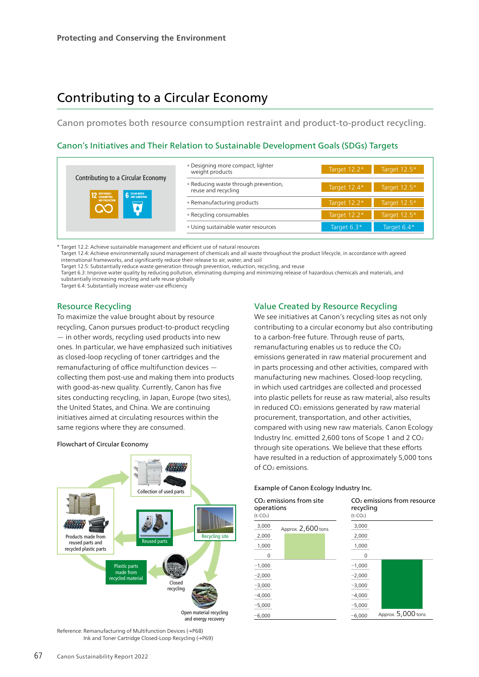# Contributing to a Circular Economy

Canon promotes both resource consumption restraint and product-to-product recycling.

# Canon's Initiatives and Their Relation to Sustainable Development Goals (SDGs) Targets

|                                                                                                                           | • Designing more compact, lighter<br>weight products        | Target 12.2*   | Target 12.5* |
|---------------------------------------------------------------------------------------------------------------------------|-------------------------------------------------------------|----------------|--------------|
| Contributing to a Circular Economy<br><b>6</b> CLEAN WATER<br>12 RESPONSIBLE<br>AND PRODUCTION<br>$\overline{\textbf{C}}$ | . Reducing waste through prevention,<br>reuse and recycling | Target 12.4*   | Target 12.5* |
|                                                                                                                           | • Remanufacturing products                                  | Target 12.2*   | Target 12.5* |
|                                                                                                                           | • Recycling consumables                                     | Target $12.2*$ | Target 12.5* |
|                                                                                                                           | · Using sustainable water resources                         | Target $6.3*$  | Target 6.4*  |

\* Target 12.2: Achieve sustainable management and efficient use of natural resources

Target 12.4: Achieve environmentally sound management of chemicals and all waste throughout the product lifecycle, in accordance with agreed international frameworks, and significantly reduce their release to air, water, and soil

Target 12.5: Substantially reduce waste generation through prevention, reduction, recycling, and reuse

Target 6.3: Improve water quality by reducing pollution, eliminating dumping and minimizing release of hazardous chemicals and materials, and substantially increasing recycling and safe reuse globally

Target 6.4: Substantially increase water-use efficiency

# Resource Recycling

To maximize the value brought about by resource recycling, Canon pursues product-to-product recycling — in other words, recycling used products into new ones. In particular, we have emphasized such initiatives as closed-loop recycling of toner cartridges and the remanufacturing of office multifunction devices collecting them post-use and making them into products with good-as-new quality. Currently, Canon has five sites conducting recycling, in Japan, Europe (two sites), the United States, and China. We are continuing initiatives aimed at circulating resources within the same regions where they are consumed.

#### Flowchart of Circular Economy



Reference: Remanufacturing of Multifunction Devices (→P68) Ink and Toner Cartridge Closed-Loop Recycling (→P69)

# Value Created by Resource Recycling

We see initiatives at Canon's recycling sites as not only contributing to a circular economy but also contributing to a carbon-free future. Through reuse of parts, remanufacturing enables us to reduce the CO2 emissions generated in raw material procurement and in parts processing and other activities, compared with manufacturing new machines. Closed-loop recycling, in which used cartridges are collected and processed into plastic pellets for reuse as raw material, also results in reduced CO2 emissions generated by raw material procurement, transportation, and other activities, compared with using new raw materials. Canon Ecology Industry Inc. emitted 2,600 tons of Scope 1 and 2 CO2 through site operations. We believe that these efforts have resulted in a reduction of approximately 5,000 tons of CO2 emissions.

#### Example of Canon Ecology Industry Inc.

| operations<br>$(t$ -CO <sub>2</sub> ) | $CO2$ emissions from site | recycling<br>$(t-CO2)$ | CO <sub>2</sub> emissions from resource |
|---------------------------------------|---------------------------|------------------------|-----------------------------------------|
| 3,000                                 | Approx. 2,600 tons        | 3,000                  |                                         |
| 2,000                                 |                           | 2,000                  |                                         |
| 1,000                                 |                           | 1,000                  |                                         |
| $\Omega$                              |                           | 0                      |                                         |
| $-1,000$                              |                           | $-1,000$               |                                         |
| $-2,000$                              |                           | $-2,000$               |                                         |
| $-3,000$                              |                           | $-3,000$               |                                         |
| $-4,000$                              |                           | $-4,000$               |                                         |
| $-5,000$                              |                           | $-5,000$               |                                         |
| $-6,000$                              |                           | $-6,000$               | Approx. 5,000 tons                      |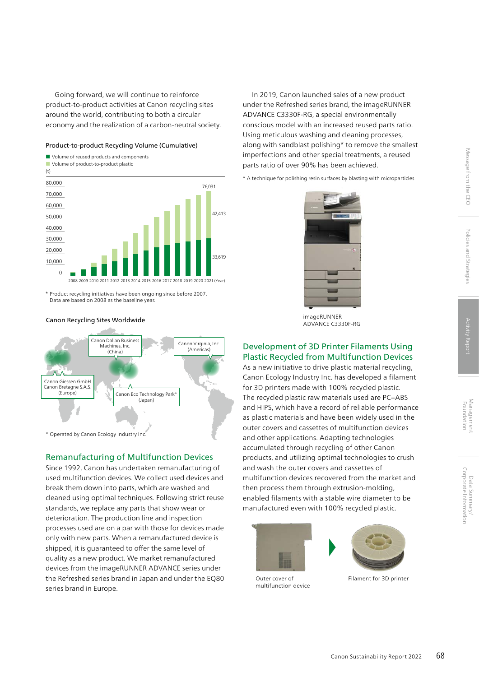Going forward, we will continue to reinforce product-to-product activities at Canon recycling sites around the world, contributing to both a circular economy and the realization of a carbon-neutral society.

#### Product-to-product Recycling Volume (Cumulative)



\* Product recycling initiatives have been ongoing since before 2007. Data are based on 2008 as the baseline year.

### Canon Recycling Sites Worldwide



# Remanufacturing of Multifunction Devices

Since 1992, Canon has undertaken remanufacturing of used multifunction devices. We collect used devices and break them down into parts, which are washed and cleaned using optimal techniques. Following strict reuse standards, we replace any parts that show wear or deterioration. The production line and inspection processes used are on a par with those for devices made only with new parts. When a remanufactured device is shipped, it is guaranteed to offer the same level of quality as a new product. We market remanufactured devices from the imageRUNNER ADVANCE series under the Refreshed series brand in Japan and under the EQ80 series brand in Europe.

In 2019, Canon launched sales of a new product under the Refreshed series brand, the imageRUNNER ADVANCE C3330F-RG, a special environmentally conscious model with an increased reused parts ratio. Using meticulous washing and cleaning processes, along with sandblast polishing\* to remove the smallest imperfections and other special treatments, a reused parts ratio of over 90% has been achieved.

\* A technique for polishing resin surfaces by blasting with microparticles



imageRUNNER ADVANCE C3330F-RG

# Development of 3D Printer Filaments Using Plastic Recycled from Multifunction Devices

As a new initiative to drive plastic material recycling, Canon Ecology Industry Inc. has developed a filament for 3D printers made with 100% recycled plastic. The recycled plastic raw materials used are PC+ABS and HIPS, which have a record of reliable performance as plastic materials and have been widely used in the outer covers and cassettes of multifunction devices and other applications. Adapting technologies accumulated through recycling of other Canon products, and utilizing optimal technologies to crush and wash the outer covers and cassettes of multifunction devices recovered from the market and then process them through extrusion-molding, enabled filaments with a stable wire diameter to be manufactured even with 100% recycled plastic.





Outer cover of multifunction device

Data Summary/

Data Summary/<br>Corporate Information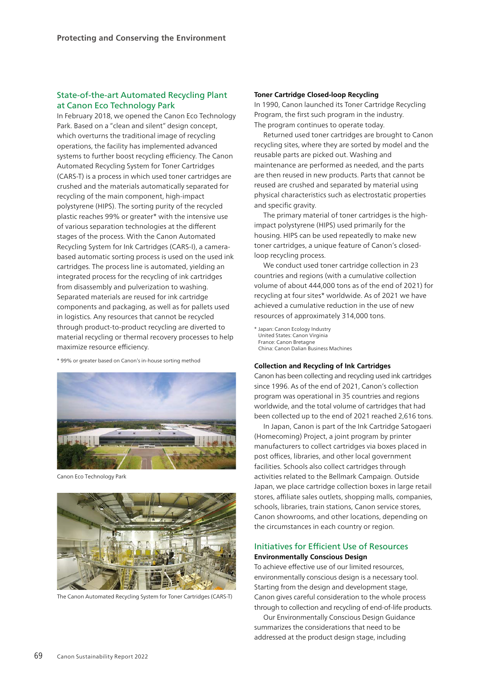# State-of-the-art Automated Recycling Plant at Canon Eco Technology Park

In February 2018, we opened the Canon Eco Technology Park. Based on a "clean and silent" design concept, which overturns the traditional image of recycling operations, the facility has implemented advanced systems to further boost recycling efficiency. The Canon Automated Recycling System for Toner Cartridges (CARS-T) is a process in which used toner cartridges are crushed and the materials automatically separated for recycling of the main component, high-impact polystyrene (HIPS). The sorting purity of the recycled plastic reaches 99% or greater\* with the intensive use of various separation technologies at the different stages of the process. With the Canon Automated Recycling System for Ink Cartridges (CARS-I), a camerabased automatic sorting process is used on the used ink cartridges. The process line is automated, yielding an integrated process for the recycling of ink cartridges from disassembly and pulverization to washing. Separated materials are reused for ink cartridge components and packaging, as well as for pallets used in logistics. Any resources that cannot be recycled through product-to-product recycling are diverted to material recycling or thermal recovery processes to help maximize resource efficiency.

\* 99% or greater based on Canon's in-house sorting method



Canon Eco Technology Park



The Canon Automated Recycling System for Toner Cartridges (CARS-T)

#### **Toner Cartridge Closed-loop Recycling**

In 1990, Canon launched its Toner Cartridge Recycling Program, the first such program in the industry. The program continues to operate today.

Returned used toner cartridges are brought to Canon recycling sites, where they are sorted by model and the reusable parts are picked out. Washing and maintenance are performed as needed, and the parts are then reused in new products. Parts that cannot be reused are crushed and separated by material using physical characteristics such as electrostatic properties and specific gravity.

The primary material of toner cartridges is the highimpact polystyrene (HIPS) used primarily for the housing. HIPS can be used repeatedly to make new toner cartridges, a unique feature of Canon's closedloop recycling process.

We conduct used toner cartridge collection in 23 countries and regions (with a cumulative collection volume of about 444,000 tons as of the end of 2021) for recycling at four sites\* worldwide. As of 2021 we have achieved a cumulative reduction in the use of new resources of approximately 314,000 tons.

\* Japan: Canon Ecology Industry United States: Canon Virginia France: Canon Bretagne China: Canon Dalian Business Machines

#### **Collection and Recycling of Ink Cartridges**

Canon has been collecting and recycling used ink cartridges since 1996. As of the end of 2021, Canon's collection program was operational in 35 countries and regions worldwide, and the total volume of cartridges that had been collected up to the end of 2021 reached 2,616 tons.

In Japan, Canon is part of the Ink Cartridge Satogaeri (Homecoming) Project, a joint program by printer manufacturers to collect cartridges via boxes placed in post offices, libraries, and other local government facilities. Schools also collect cartridges through activities related to the Bellmark Campaign. Outside Japan, we place cartridge collection boxes in large retail stores, affiliate sales outlets, shopping malls, companies, schools, libraries, train stations, Canon service stores, Canon showrooms, and other locations, depending on the circumstances in each country or region.

# Initiatives for Efficient Use of Resources **Environmentally Conscious Design**

To achieve effective use of our limited resources, environmentally conscious design is a necessary tool. Starting from the design and development stage, Canon gives careful consideration to the whole process through to collection and recycling of end-of-life products.

Our Environmentally Conscious Design Guidance summarizes the considerations that need to be addressed at the product design stage, including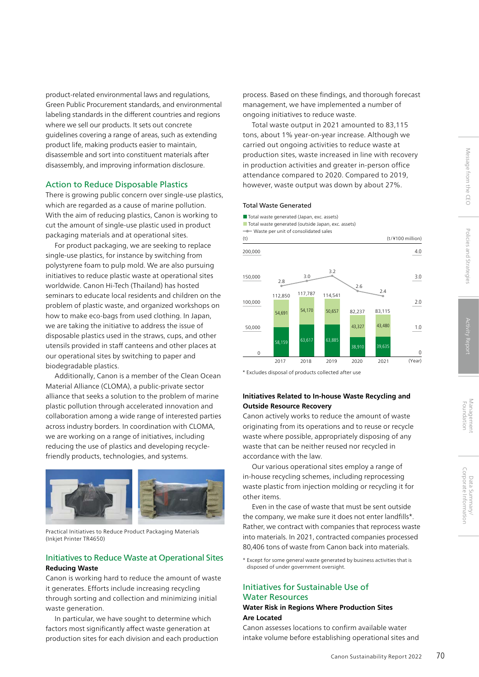Management<br>Foundation

product-related environmental laws and regulations, Green Public Procurement standards, and environmental labeling standards in the different countries and regions where we sell our products. It sets out concrete guidelines covering a range of areas, such as extending product life, making products easier to maintain, disassemble and sort into constituent materials after disassembly, and improving information disclosure.

# Action to Reduce Disposable Plastics

There is growing public concern over single-use plastics, which are regarded as a cause of marine pollution. With the aim of reducing plastics, Canon is working to cut the amount of single-use plastic used in product packaging materials and at operational sites.

For product packaging, we are seeking to replace single-use plastics, for instance by switching from polystyrene foam to pulp mold. We are also pursuing initiatives to reduce plastic waste at operational sites worldwide. Canon Hi-Tech (Thailand) has hosted seminars to educate local residents and children on the problem of plastic waste, and organized workshops on how to make eco-bags from used clothing. In Japan, we are taking the initiative to address the issue of disposable plastics used in the straws, cups, and other utensils provided in staff canteens and other places at our operational sites by switching to paper and biodegradable plastics.

Additionally, Canon is a member of the Clean Ocean Material Alliance (CLOMA), a public-private sector alliance that seeks a solution to the problem of marine plastic pollution through accelerated innovation and collaboration among a wide range of interested parties across industry borders. In coordination with CLOMA, we are working on a range of initiatives, including reducing the use of plastics and developing recyclefriendly products, technologies, and systems.



Practical Initiatives to Reduce Product Packaging Materials (Inkjet Printer TR4650)

# Initiatives to Reduce Waste at Operational Sites **Reducing Waste**

Canon is working hard to reduce the amount of waste it generates. Efforts include increasing recycling through sorting and collection and minimizing initial waste generation.

In particular, we have sought to determine which factors most significantly affect waste generation at production sites for each division and each production process. Based on these findings, and thorough forecast management, we have implemented a number of ongoing initiatives to reduce waste.

Total waste output in 2021 amounted to 83,115 tons, about 1% year-on-year increase. Although we carried out ongoing activities to reduce waste at production sites, waste increased in line with recovery in production activities and greater in-person office attendance compared to 2020. Compared to 2019, however, waste output was down by about 27%.

# Total Waste Generated

■ Total waste generated (Japan, exc. assets) ■ Total waste generated (outside Japan, exc. assets) **-** Waste per unit of consolidated sales

112,850 54,691 58,159 63,617 54,170 117,787 63,885 50,657 .<br>39 63 43,480 83,115  $\Omega$ 50,000 100,000 150,000 200,000  $\overline{0}$ 1.0 2.0 3.0 4.0 114,541 2.8 3.0 2.4  $\overline{2}$ .<br>28 Q10 43,327 82,237 2.6 2017 2018 2019 2020 2021 (Year) (t)  $(t)$  (t)  $(t)$  (t)  $(t)$  (t)  $(t)$ 

\* Excludes disposal of products collected after use

# **Initiatives Related to In-house Waste Recycling and Outside Resource Recovery**

Canon actively works to reduce the amount of waste originating from its operations and to reuse or recycle waste where possible, appropriately disposing of any waste that can be neither reused nor recycled in accordance with the law.

Our various operational sites employ a range of in-house recycling schemes, including reprocessing waste plastic from injection molding or recycling it for other items.

Even in the case of waste that must be sent outside the company, we make sure it does not enter landfills\*. Rather, we contract with companies that reprocess waste into materials. In 2021, contracted companies processed 80,406 tons of waste from Canon back into materials.

\* Except for some general waste generated by business activities that is disposed of under government oversight.

# Initiatives for Sustainable Use of Water Resources

# **Water Risk in Regions Where Production Sites Are Located**

Canon assesses locations to confirm available water intake volume before establishing operational sites and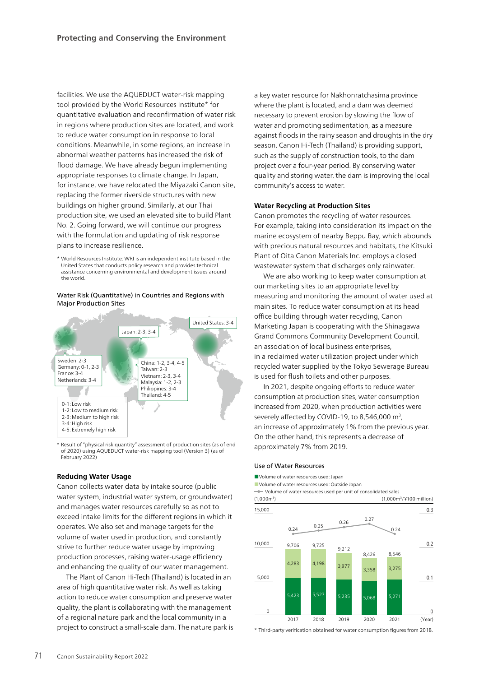facilities. We use the AQUEDUCT water-risk mapping tool provided by the World Resources Institute\* for quantitative evaluation and reconfirmation of water risk in regions where production sites are located, and work to reduce water consumption in response to local conditions. Meanwhile, in some regions, an increase in abnormal weather patterns has increased the risk of flood damage. We have already begun implementing appropriate responses to climate change. In Japan, for instance, we have relocated the Miyazaki Canon site, replacing the former riverside structures with new buildings on higher ground. Similarly, at our Thai production site, we used an elevated site to build Plant No. 2. Going forward, we will continue our progress with the formulation and updating of risk response plans to increase resilience.

\* World Resources Institute: WRI is an independent institute based in the United States that conducts policy research and provides technical assistance concerning environmental and development issues around the world.

#### Water Risk (Quantitative) in Countries and Regions with Major Production Sites



\* Result of "physical risk quantity" assessment of production sites (as of end of 2020) using AQUEDUCT water-risk mapping tool (Version 3) (as of February 2022)

#### **Reducing Water Usage**

Canon collects water data by intake source (public water system, industrial water system, or groundwater) and manages water resources carefully so as not to exceed intake limits for the different regions in which it operates. We also set and manage targets for the volume of water used in production, and constantly strive to further reduce water usage by improving production processes, raising water-usage efficiency and enhancing the quality of our water management.

The Plant of Canon Hi-Tech (Thailand) is located in an area of high quantitative water risk. As well as taking action to reduce water consumption and preserve water quality, the plant is collaborating with the management of a regional nature park and the local community in a project to construct a small-scale dam. The nature park is a key water resource for Nakhonratchasima province where the plant is located, and a dam was deemed necessary to prevent erosion by slowing the flow of water and promoting sedimentation, as a measure against floods in the rainy season and droughts in the dry season. Canon Hi-Tech (Thailand) is providing support, such as the supply of construction tools, to the dam project over a four-year period. By conserving water quality and storing water, the dam is improving the local community's access to water.

#### **Water Recycling at Production Sites**

Canon promotes the recycling of water resources. For example, taking into consideration its impact on the marine ecosystem of nearby Beppu Bay, which abounds with precious natural resources and habitats, the Kitsuki Plant of Oita Canon Materials Inc. employs a closed wastewater system that discharges only rainwater.

We are also working to keep water consumption at our marketing sites to an appropriate level by measuring and monitoring the amount of water used at main sites. To reduce water consumption at its head office building through water recycling, Canon Marketing Japan is cooperating with the Shinagawa Grand Commons Community Development Council, an association of local business enterprises, in a reclaimed water utilization project under which recycled water supplied by the Tokyo Sewerage Bureau is used for flush toilets and other purposes.

In 2021, despite ongoing efforts to reduce water consumption at production sites, water consumption increased from 2020, when production activities were severely affected by COVID-19, to 8,546,000 m<sup>3</sup>, an increase of approximately 1% from the previous year. On the other hand, this represents a decrease of approximately 7% from 2019.

#### Use of Water Resources

■Volume of water resources used: Japan

■Volume of water resources used: Outside Japan Volume of water resources used per unit of consolidated sales



\* Third-party verification obtained for water consumption figures from 2018.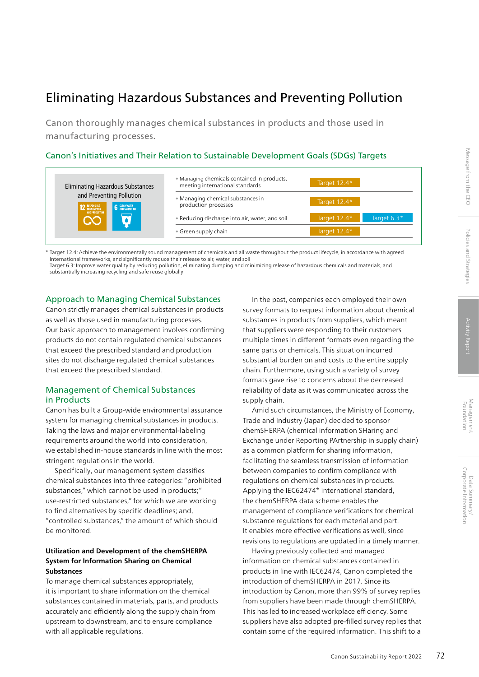# Eliminating Hazardous Substances and Preventing Pollution

Canon thoroughly manages chemical substances in products and those used in manufacturing processes.

# Canon's Initiatives and Their Relation to Sustainable Development Goals (SDGs) Targets

| <b>Eliminating Hazardous Substances</b>                            | . Managing chemicals contained in products,<br>meeting international standards | Target 12.4* |             |
|--------------------------------------------------------------------|--------------------------------------------------------------------------------|--------------|-------------|
| and Preventing Pollution<br><b>6</b> CLEAN WATER<br>12 RESPONSIBLE | • Managing chemical substances in<br>production processes                      | Target 12.4* |             |
| AND PRODUCTION                                                     | • Reducing discharge into air, water, and soil                                 | Target 12.4* | Target 6.3* |
|                                                                    | • Green supply chain                                                           | Target 12.4* |             |

Target 12.4: Achieve the environmentally sound management of chemicals and all waste throughout the product lifecycle, in accordance with agreed international frameworks, and significantly reduce their release to air, water, and soil Target 6.3: Improve water quality by reducing pollution, eliminating dumping and minimizing release of hazardous chemicals and materials, and substantially increasing recycling and safe reuse globally

# Approach to Managing Chemical Substances

Canon strictly manages chemical substances in products as well as those used in manufacturing processes. Our basic approach to management involves confirming products do not contain regulated chemical substances that exceed the prescribed standard and production sites do not discharge regulated chemical substances that exceed the prescribed standard.

# Management of Chemical Substances in Products

Canon has built a Group-wide environmental assurance system for managing chemical substances in products. Taking the laws and major environmental-labeling requirements around the world into consideration, we established in-house standards in line with the most stringent regulations in the world.

Specifically, our management system classifies chemical substances into three categories: "prohibited substances," which cannot be used in products;" use-restricted substances," for which we are working to find alternatives by specific deadlines; and, "controlled substances," the amount of which should be monitored.

# **Utilization and Development of the chemSHERPA System for Information Sharing on Chemical Substances**

To manage chemical substances appropriately, it is important to share information on the chemical substances contained in materials, parts, and products accurately and efficiently along the supply chain from upstream to downstream, and to ensure compliance with all applicable regulations.

In the past, companies each employed their own survey formats to request information about chemical substances in products from suppliers, which meant that suppliers were responding to their customers multiple times in different formats even regarding the same parts or chemicals. This situation incurred substantial burden on and costs to the entire supply chain. Furthermore, using such a variety of survey formats gave rise to concerns about the decreased reliability of data as it was communicated across the supply chain.

Amid such circumstances, the Ministry of Economy, Trade and Industry (Japan) decided to sponsor chemSHERPA (chemical information SHaring and Exchange under Reporting PArtnership in supply chain) as a common platform for sharing information, facilitating the seamless transmission of information between companies to confirm compliance with regulations on chemical substances in products. Applying the IEC62474\* international standard, the chemSHERPA data scheme enables the management of compliance verifications for chemical substance regulations for each material and part. It enables more effective verifications as well, since revisions to regulations are updated in a timely manner.

Having previously collected and managed information on chemical substances contained in products in line with IEC62474, Canon completed the introduction of chemSHERPA in 2017. Since its introduction by Canon, more than 99% of survey replies from suppliers have been made through chemSHERPA. This has led to increased workplace efficiency. Some suppliers have also adopted pre-filled survey replies that contain some of the required information. This shift to a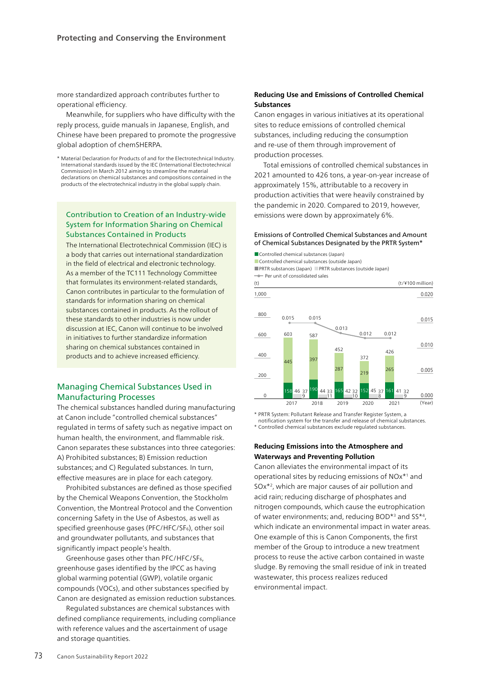more standardized approach contributes further to operational efficiency.

Meanwhile, for suppliers who have difficulty with the reply process, guide manuals in Japanese, English, and Chinese have been prepared to promote the progressive global adoption of chemSHERPA.

\* Material Declaration for Products of and for the Electrotechnical Industry. International standards issued by the IEC (International Electrotechnical Commission) in March 2012 aiming to streamline the material declarations on chemical substances and compositions contained in the products of the electrotechnical industry in the global supply chain.

# Contribution to Creation of an Industry-wide System for Information Sharing on Chemical Substances Contained in Products

The International Electrotechnical Commission (IEC) is a body that carries out international standardization in the field of electrical and electronic technology. As a member of the TC111 Technology Committee that formulates its environment-related standards, Canon contributes in particular to the formulation of standards for information sharing on chemical substances contained in products. As the rollout of these standards to other industries is now under discussion at IEC, Canon will continue to be involved in initiatives to further standardize information sharing on chemical substances contained in products and to achieve increased efficiency.

# Managing Chemical Substances Used in Manufacturing Processes

The chemical substances handled during manufacturing at Canon include "controlled chemical substances" regulated in terms of safety such as negative impact on human health, the environment, and flammable risk. Canon separates these substances into three categories: A) Prohibited substances; B) Emission reduction substances; and C) Regulated substances. In turn, effective measures are in place for each category.

Prohibited substances are defined as those specified by the Chemical Weapons Convention, the Stockholm Convention, the Montreal Protocol and the Convention concerning Safety in the Use of Asbestos, as well as specified greenhouse gases (PFC/HFC/SF6), other soil and groundwater pollutants, and substances that significantly impact people's health.

Greenhouse gases other than PFC/HFC/SF6, greenhouse gases identified by the IPCC as having global warming potential (GWP), volatile organic compounds (VOCs), and other substances specified by Canon are designated as emission reduction substances.

Regulated substances are chemical substances with defined compliance requirements, including compliance with reference values and the ascertainment of usage and storage quantities.

# **Reducing Use and Emissions of Controlled Chemical Substances**

Canon engages in various initiatives at its operational sites to reduce emissions of controlled chemical substances, including reducing the consumption and re-use of them through improvement of production processes.

Total emissions of controlled chemical substances in 2021 amounted to 426 tons, a year-on-year increase of approximately 15%, attributable to a recovery in production activities that were heavily constrained by the pandemic in 2020. Compared to 2019, however, emissions were down by approximately 6%.

#### Emissions of Controlled Chemical Substances and Amount of Chemical Substances Designated by the PRTR System\*

■ Controlled chemical substances (Japan)

■ Controlled chemical substances (outside Japan)

■PRTR substances (Japan) ■PRTR substances (outside Japan) **-** Per unit of consolidated sales



\* PRTR System: Pollutant Release and Transfer Register System, a notification system for the transfer and release of chemical substances.

\* Controlled chemical substances exclude regulated substances.

# **Reducing Emissions into the Atmosphere and Waterways and Preventing Pollution**

Canon alleviates the environmental impact of its operational sites by reducing emissions of NOx\*1 and SOx\*2, which are major causes of air pollution and acid rain; reducing discharge of phosphates and nitrogen compounds, which cause the eutrophication of water environments; and, reducing BOD\*3 and SS\*4, which indicate an environmental impact in water areas. One example of this is Canon Components, the first member of the Group to introduce a new treatment process to reuse the active carbon contained in waste sludge. By removing the small residue of ink in treated wastewater, this process realizes reduced environmental impact.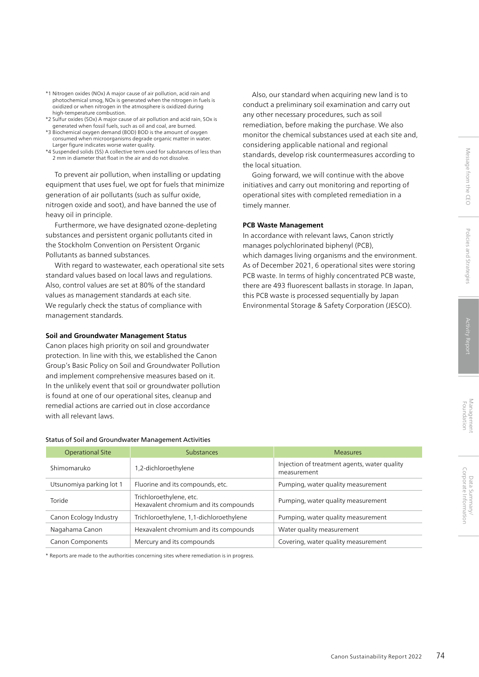Also, our standard when acquiring new land is to conduct a preliminary soil examination and carry out

standards, develop risk countermeasures according to

Going forward, we will continue with the above initiatives and carry out monitoring and reporting of operational sites with completed remediation in a

any other necessary procedures, such as soil remediation, before making the purchase. We also monitor the chemical substances used at each site and,

considering applicable national and regional

In accordance with relevant laws, Canon strictly manages polychlorinated biphenyl (PCB),

which damages living organisms and the environment. As of December 2021, 6 operational sites were storing PCB waste. In terms of highly concentrated PCB waste, there are 493 fluorescent ballasts in storage. In Japan, this PCB waste is processed sequentially by Japan Environmental Storage & Safety Corporation (JESCO).

the local situation.

timely manner.

**PCB Waste Management**

- \*1 Nitrogen oxides (NOx) A major cause of air pollution, acid rain and photochemical smog, NOx is generated when the nitrogen in fuels is oxidized or when nitrogen in the atmosphere is oxidized during high-temperature combustion.
- \*2 Sulfur oxides (SOx) A major cause of air pollution and acid rain, SOx is generated when fossil fuels, such as oil and coal, are burned.
- \*3 Biochemical oxygen demand (BOD) BOD is the amount of oxygen consumed when microorganisms degrade organic matter in water. Larger figure indicates worse water quality.
- \*4 Suspended solids (SS) A collective term used for substances of less than 2 mm in diameter that float in the air and do not dissolve.

To prevent air pollution, when installing or updating equipment that uses fuel, we opt for fuels that minimize generation of air pollutants (such as sulfur oxide, nitrogen oxide and soot), and have banned the use of heavy oil in principle.

Furthermore, we have designated ozone-depleting substances and persistent organic pollutants cited in the Stockholm Convention on Persistent Organic Pollutants as banned substances.

With regard to wastewater, each operational site sets standard values based on local laws and regulations. Also, control values are set at 80% of the standard values as management standards at each site. We regularly check the status of compliance with management standards.

# **Soil and Groundwater Management Status**

Canon places high priority on soil and groundwater protection. In line with this, we established the Canon Group's Basic Policy on Soil and Groundwater Pollution and implement comprehensive measures based on it. In the unlikely event that soil or groundwater pollution is found at one of our operational sites, cleanup and remedial actions are carried out in close accordance with all relevant laws.

#### Status of Soil and Groundwater Management Activities

| <b>Operational Site</b>  | <b>Substances</b>                                                | <b>Measures</b>                                             |
|--------------------------|------------------------------------------------------------------|-------------------------------------------------------------|
| Shimomaruko              | 1,2-dichloroethylene                                             | Injection of treatment agents, water quality<br>measurement |
| Utsunomiya parking lot 1 | Fluorine and its compounds, etc.                                 | Pumping, water quality measurement                          |
| Toride                   | Trichloroethylene, etc.<br>Hexavalent chromium and its compounds | Pumping, water quality measurement                          |
| Canon Ecology Industry   | Trichloroethylene, 1,1-dichloroethylene                          | Pumping, water quality measurement                          |
| Nagahama Canon           | Hexavalent chromium and its compounds                            | Water quality measurement                                   |
| <b>Canon Components</b>  | Mercury and its compounds                                        | Covering, water quality measurement                         |

\* Reports are made to the authorities concerning sites where remediation is in progress.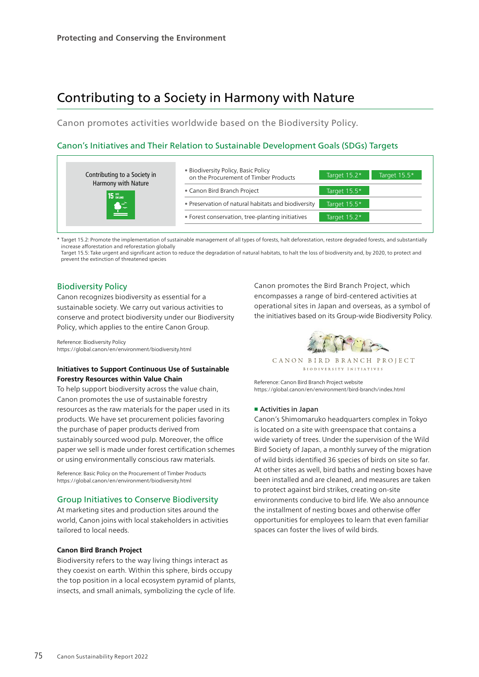# Contributing to a Society in Harmony with Nature

Canon promotes activities worldwide based on the Biodiversity Policy.

# Canon's Initiatives and Their Relation to Sustainable Development Goals (SDGs) Targets



\* Target 15.2: Promote the implementation of sustainable management of all types of forests, halt deforestation, restore degraded forests, and substantially increase afforestation and reforestation globally

Target 15.5: Take urgent and significant action to reduce the degradation of natural habitats, to halt the loss of biodiversity and, by 2020, to protect and prevent the extinction of threatened species

# Biodiversity Policy

Canon recognizes biodiversity as essential for a sustainable society. We carry out various activities to conserve and protect biodiversity under our Biodiversity Policy, which applies to the entire Canon Group.

Reference: Biodiversity Policy https://global.canon/en/environment/biodiversity.html

# **Initiatives to Support Continuous Use of Sustainable Forestry Resources within Value Chain**

To help support biodiversity across the value chain, Canon promotes the use of sustainable forestry resources as the raw materials for the paper used in its products. We have set procurement policies favoring the purchase of paper products derived from sustainably sourced wood pulp. Moreover, the office paper we sell is made under forest certification schemes or using environmentally conscious raw materials.

Reference: Basic Policy on the Procurement of Timber Products https://global.canon/en/environment/biodiversity.html

# Group Initiatives to Conserve Biodiversity

At marketing sites and production sites around the world, Canon joins with local stakeholders in activities tailored to local needs.

#### **Canon Bird Branch Project**

Biodiversity refers to the way living things interact as they coexist on earth. Within this sphere, birds occupy the top position in a local ecosystem pyramid of plants, insects, and small animals, symbolizing the cycle of life.

Canon promotes the Bird Branch Project, which encompasses a range of bird-centered activities at operational sites in Japan and overseas, as a symbol of the initiatives based on its Group-wide Biodiversity Policy.



CANON BIRD BRANCH PROJECT **BIODIVERSITY INITIATIVES** 

Reference: Canon Bird Branch Project website https://global.canon/en/environment/bird-branch/index.html

# ■ Activities in Japan

Canon's Shimomaruko headquarters complex in Tokyo is located on a site with greenspace that contains a wide variety of trees. Under the supervision of the Wild Bird Society of Japan, a monthly survey of the migration of wild birds identified 36 species of birds on site so far. At other sites as well, bird baths and nesting boxes have been installed and are cleaned, and measures are taken to protect against bird strikes, creating on-site environments conducive to bird life. We also announce the installment of nesting boxes and otherwise offer opportunities for employees to learn that even familiar spaces can foster the lives of wild birds.